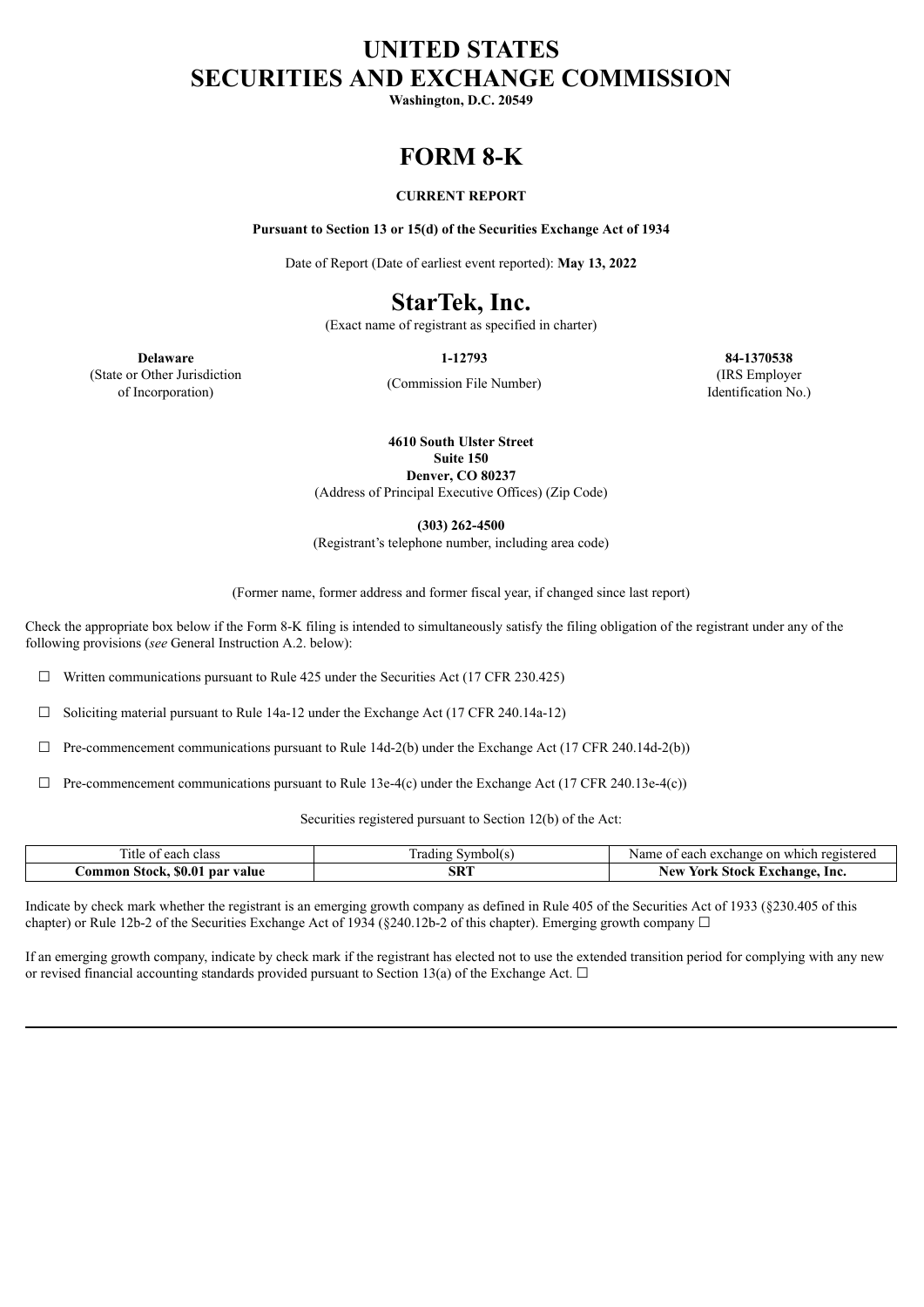# **UNITED STATES SECURITIES AND EXCHANGE COMMISSION**

**Washington, D.C. 20549**

# **FORM 8-K**

# **CURRENT REPORT**

**Pursuant to Section 13 or 15(d) of the Securities Exchange Act of 1934**

Date of Report (Date of earliest event reported): **May 13, 2022**

# **StarTek, Inc.**

(Exact name of registrant as specified in charter)

(Commission File Number)

**Delaware 1-12793 84-1370538** (IRS Employer Identification No.)

(State or Other Jurisdiction of Incorporation)

> **4610 South Ulster Street Suite 150 Denver, CO 80237**

(Address of Principal Executive Offices) (Zip Code)

**(303) 262-4500**

(Registrant's telephone number, including area code)

(Former name, former address and former fiscal year, if changed since last report)

Check the appropriate box below if the Form 8-K filing is intended to simultaneously satisfy the filing obligation of the registrant under any of the following provisions (*see* General Instruction A.2. below):

☐ Written communications pursuant to Rule 425 under the Securities Act (17 CFR 230.425)

☐ Soliciting material pursuant to Rule 14a-12 under the Exchange Act (17 CFR 240.14a-12)

 $\Box$  Pre-commencement communications pursuant to Rule 14d-2(b) under the Exchange Act (17 CFR 240.14d-2(b))

 $\Box$  Pre-commencement communications pursuant to Rule 13e-4(c) under the Exchange Act (17 CFR 240.13e-4(c))

Securities registered pursuant to Section 12(b) of the Act:

| $\sim$<br>$\mathbf{h}$<br>class<br>1tle of<br><b>CACH</b> | vmbol(:<br>rading | registered<br>which<br>Name<br>each<br>exchange<br>-on-<br>ΩT |
|-----------------------------------------------------------|-------------------|---------------------------------------------------------------|
| \$0.01<br>.ommon<br>par<br>Stock.<br>value                | SRT               | rork<br>-Exchange.<br>Stock<br>Inc<br>New                     |

Indicate by check mark whether the registrant is an emerging growth company as defined in Rule 405 of the Securities Act of 1933 (§230.405 of this chapter) or Rule 12b-2 of the Securities Exchange Act of 1934 (§240.12b-2 of this chapter). Emerging growth company  $\Box$ 

If an emerging growth company, indicate by check mark if the registrant has elected not to use the extended transition period for complying with any new or revised financial accounting standards provided pursuant to Section 13(a) of the Exchange Act.  $\Box$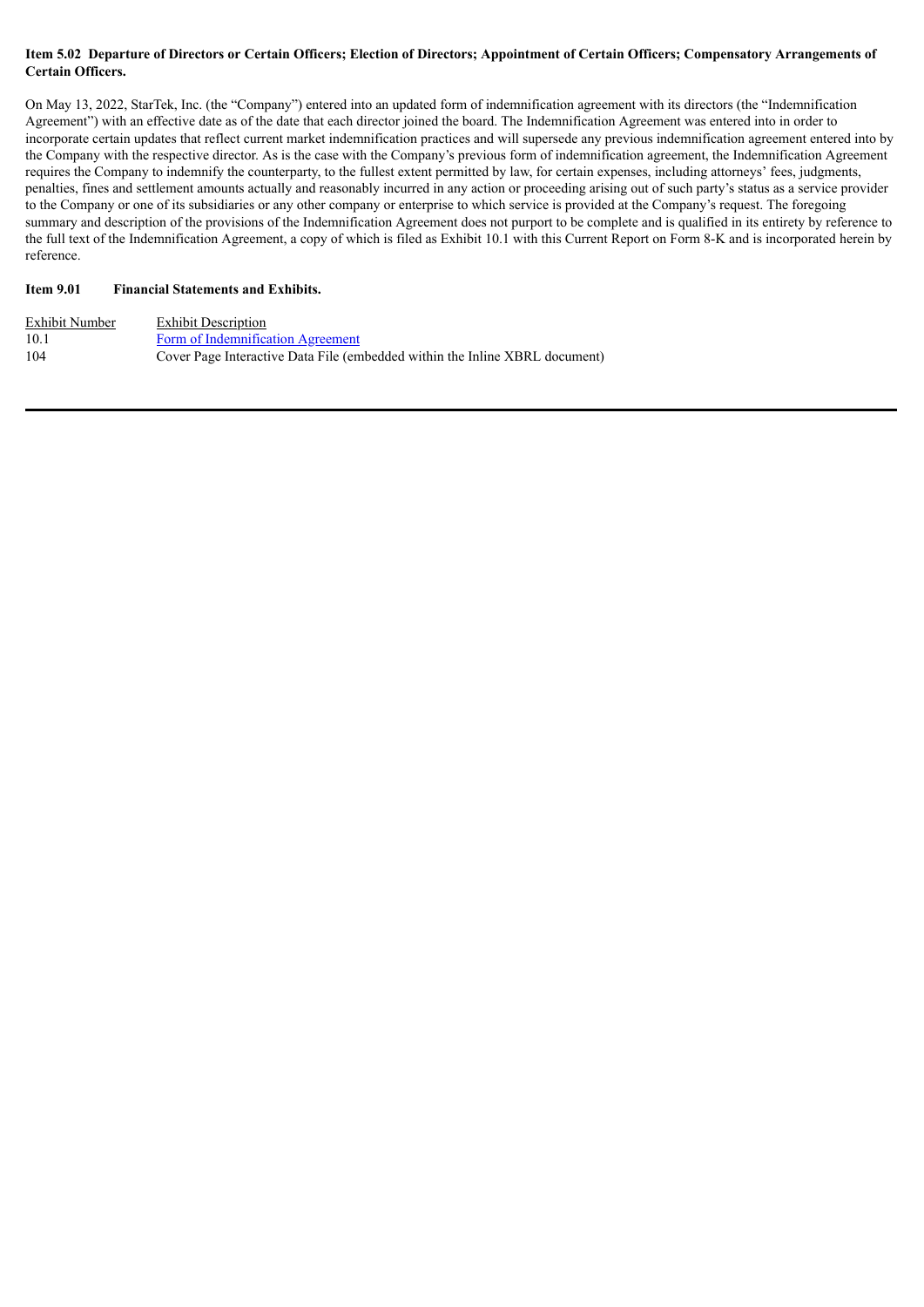### Item 5.02 Departure of Directors or Certain Officers; Election of Directors; Appointment of Certain Officers; Compensatory Arrangements of **Certain Officers.**

On May 13, 2022, StarTek, Inc. (the "Company") entered into an updated form of indemnification agreement with its directors (the "Indemnification Agreement") with an effective date as of the date that each director joined the board. The Indemnification Agreement was entered into in order to incorporate certain updates that reflect current market indemnification practices and will supersede any previous indemnification agreement entered into by the Company with the respective director. As is the case with the Company's previous form of indemnification agreement, the Indemnification Agreement requires the Company to indemnify the counterparty, to the fullest extent permitted by law, for certain expenses, including attorneys' fees, judgments, penalties, fines and settlement amounts actually and reasonably incurred in any action or proceeding arising out of such party's status as a service provider to the Company or one of its subsidiaries or any other company or enterprise to which service is provided at the Company's request. The foregoing summary and description of the provisions of the Indemnification Agreement does not purport to be complete and is qualified in its entirety by reference to the full text of the Indemnification Agreement, a copy of which is filed as Exhibit 10.1 with this Current Report on Form 8-K and is incorporated herein by reference.

# **Item 9.01 Financial Statements and Exhibits.**

| Exhibit Number | <b>Exhibit Description</b>                                                  |
|----------------|-----------------------------------------------------------------------------|
| 10.1           | Form of Indemnification Agreement                                           |
| 104            | Cover Page Interactive Data File (embedded within the Inline XBRL document) |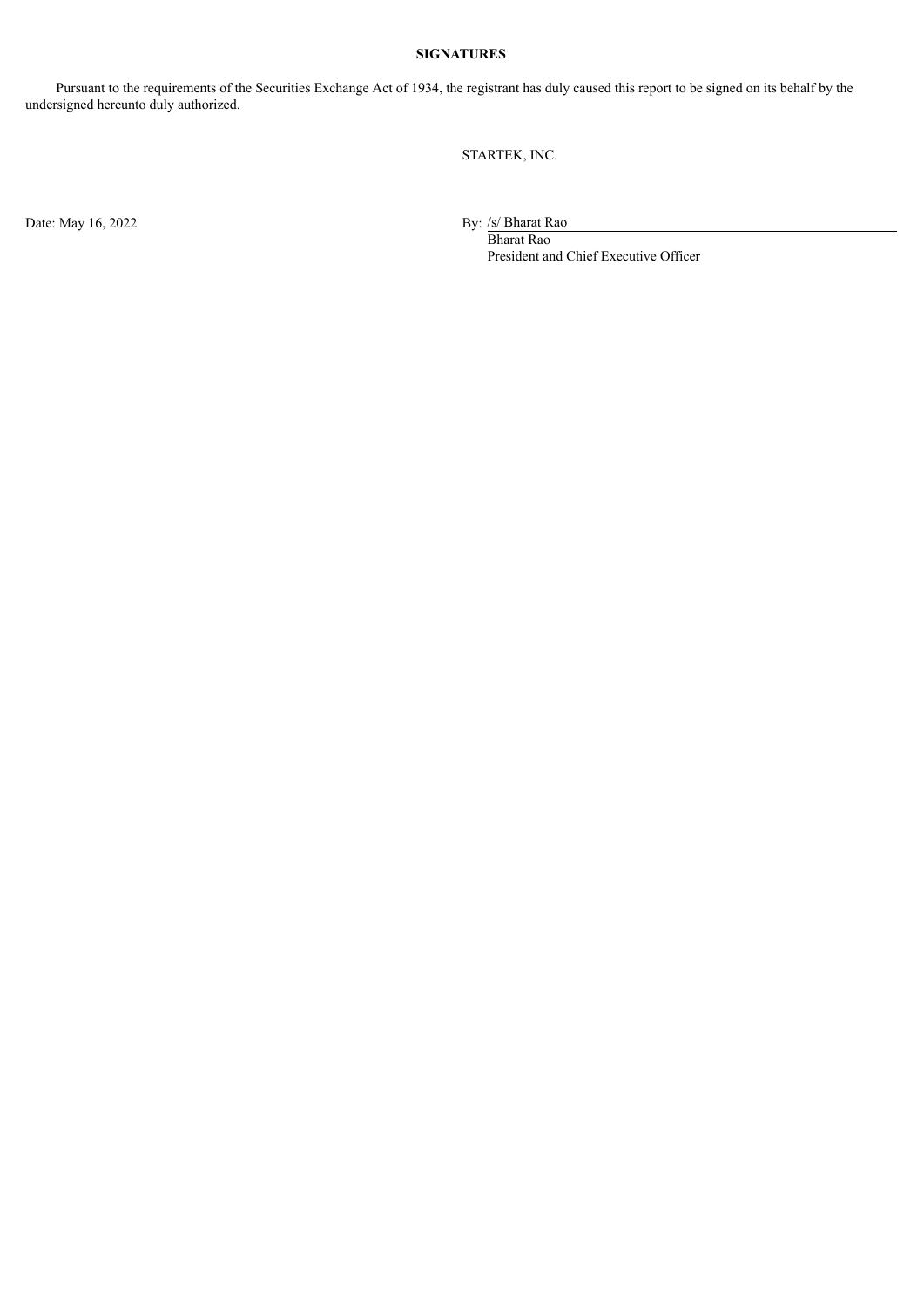# **SIGNATURES**

Pursuant to the requirements of the Securities Exchange Act of 1934, the registrant has duly caused this report to be signed on its behalf by the undersigned hereunto duly authorized.

STARTEK, INC.

Date: May 16, 2022

By:  $\frac{\sqrt{s}}{\sqrt{B}}$  Bharat Rao

President and Chief Executive Officer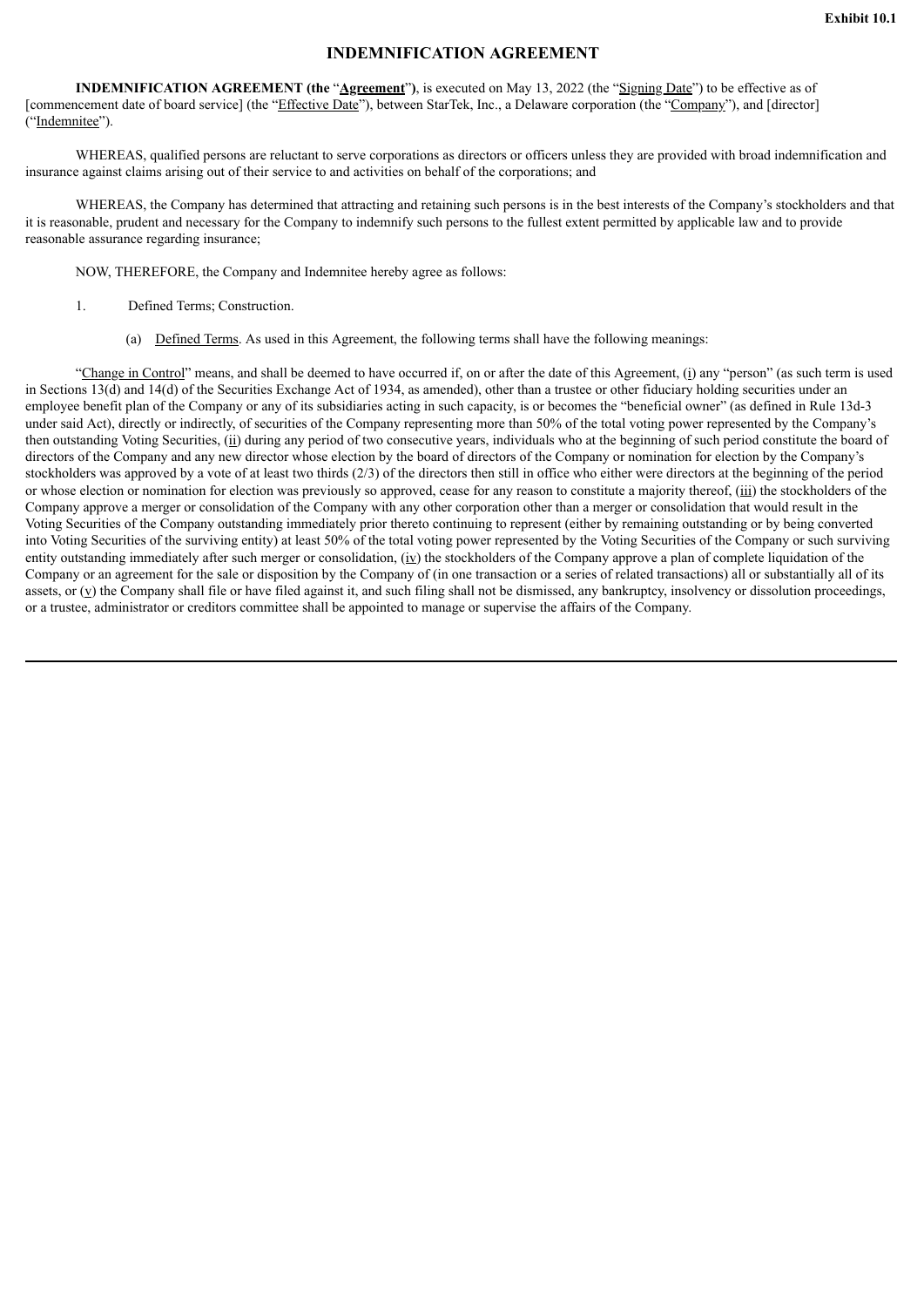# **INDEMNIFICATION AGREEMENT**

<span id="page-3-0"></span>**INDEMNIFICATION AGREEMENT (the** "**Agreement**"**)**, is executed on May 13, 2022 (the "Signing Date") to be effective as of [commencement date of board service] (the "Effective Date"), between StarTek, Inc., a Delaware corporation (the "Company"), and [director] ("Indemnitee").

WHEREAS, qualified persons are reluctant to serve corporations as directors or officers unless they are provided with broad indemnification and insurance against claims arising out of their service to and activities on behalf of the corporations; and

WHEREAS, the Company has determined that attracting and retaining such persons is in the best interests of the Company's stockholders and that it is reasonable, prudent and necessary for the Company to indemnify such persons to the fullest extent permitted by applicable law and to provide reasonable assurance regarding insurance;

NOW, THEREFORE, the Company and Indemnitee hereby agree as follows:

- 1. Defined Terms; Construction.
	- (a) Defined Terms. As used in this Agreement, the following terms shall have the following meanings:

"Change in Control" means, and shall be deemed to have occurred if, on or after the date of this Agreement, (i) any "person" (as such term is used in Sections 13(d) and 14(d) of the Securities Exchange Act of 1934, as amended), other than a trustee or other fiduciary holding securities under an employee benefit plan of the Company or any of its subsidiaries acting in such capacity, is or becomes the "beneficial owner" (as defined in Rule 13d-3 under said Act), directly or indirectly, of securities of the Company representing more than 50% of the total voting power represented by the Company's then outstanding Voting Securities, (ii) during any period of two consecutive years, individuals who at the beginning of such period constitute the board of directors of the Company and any new director whose election by the board of directors of the Company or nomination for election by the Company's stockholders was approved by a vote of at least two thirds (2/3) of the directors then still in office who either were directors at the beginning of the period or whose election or nomination for election was previously so approved, cease for any reason to constitute a majority thereof, (iii) the stockholders of the Company approve a merger or consolidation of the Company with any other corporation other than a merger or consolidation that would result in the Voting Securities of the Company outstanding immediately prior thereto continuing to represent (either by remaining outstanding or by being converted into Voting Securities of the surviving entity) at least 50% of the total voting power represented by the Voting Securities of the Company or such surviving entity outstanding immediately after such merger or consolidation, (iv) the stockholders of the Company approve a plan of complete liquidation of the Company or an agreement for the sale or disposition by the Company of (in one transaction or a series of related transactions) all or substantially all of its assets, or (v) the Company shall file or have filed against it, and such filing shall not be dismissed, any bankruptcy, insolvency or dissolution proceedings, or a trustee, administrator or creditors committee shall be appointed to manage or supervise the affairs of the Company.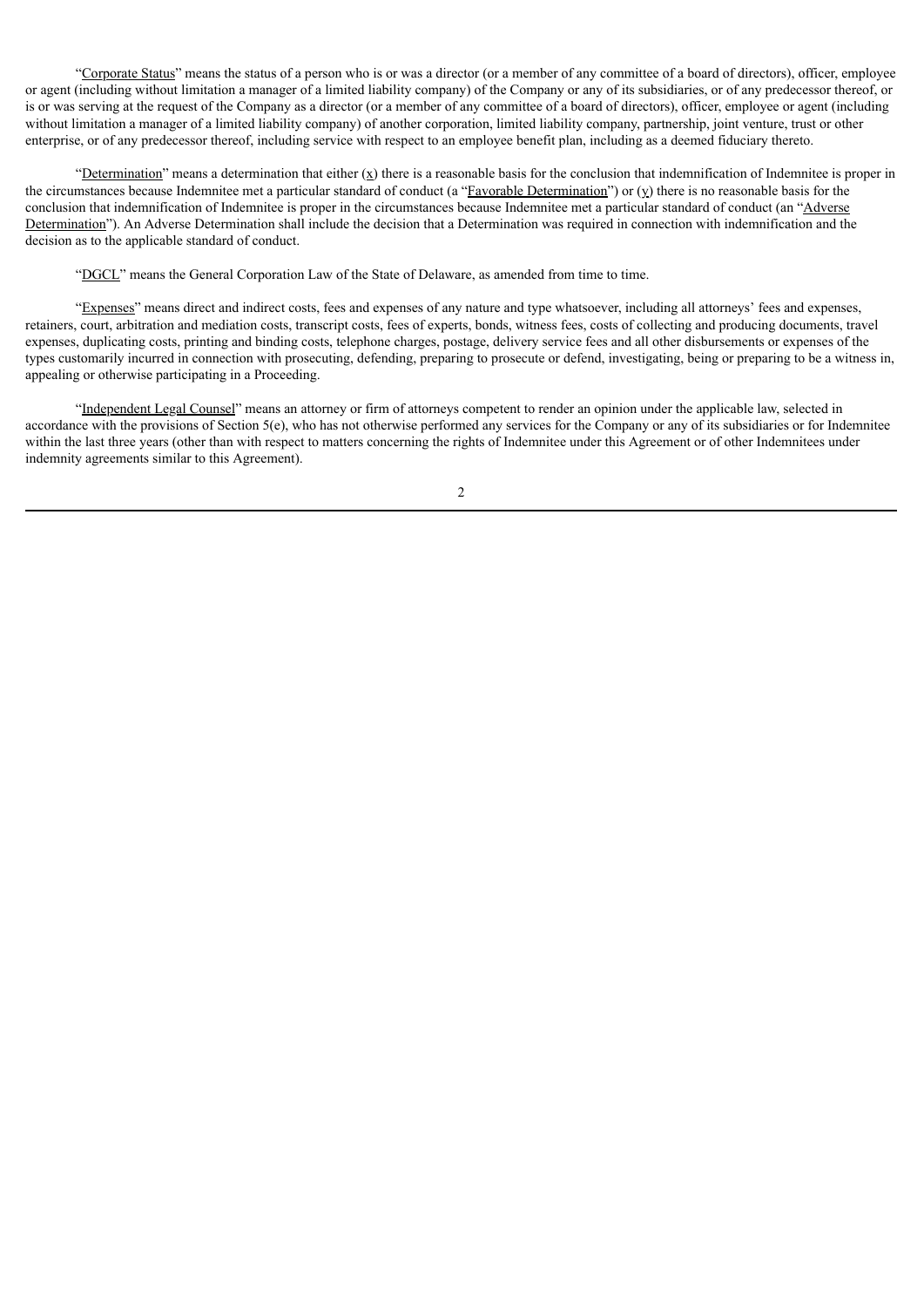"Corporate Status" means the status of a person who is or was a director (or a member of any committee of a board of directors), officer, employee or agent (including without limitation a manager of a limited liability company) of the Company or any of its subsidiaries, or of any predecessor thereof, or is or was serving at the request of the Company as a director (or a member of any committee of a board of directors), officer, employee or agent (including without limitation a manager of a limited liability company) of another corporation, limited liability company, partnership, joint venture, trust or other enterprise, or of any predecessor thereof, including service with respect to an employee benefit plan, including as a deemed fiduciary thereto.

"Determination" means a determination that either  $(x)$  there is a reasonable basis for the conclusion that indemnification of Indemnitee is proper in the circumstances because Indemnitee met a particular standard of conduct (a "Eavorable Determination") or  $(y)$  there is no reasonable basis for the conclusion that indemnification of Indemnitee is proper in the circumstances because Indemnitee met a particular standard of conduct (an "Adverse") Determination"). An Adverse Determination shall include the decision that a Determination was required in connection with indemnification and the decision as to the applicable standard of conduct.

"DGCL" means the General Corporation Law of the State of Delaware, as amended from time to time.

"Expenses" means direct and indirect costs, fees and expenses of any nature and type whatsoever, including all attorneys' fees and expenses, retainers, court, arbitration and mediation costs, transcript costs, fees of experts, bonds, witness fees, costs of collecting and producing documents, travel expenses, duplicating costs, printing and binding costs, telephone charges, postage, delivery service fees and all other disbursements or expenses of the types customarily incurred in connection with prosecuting, defending, preparing to prosecute or defend, investigating, being or preparing to be a witness in, appealing or otherwise participating in a Proceeding.

"Independent Legal Counsel" means an attorney or firm of attorneys competent to render an opinion under the applicable law, selected in accordance with the provisions of Section 5(e), who has not otherwise performed any services for the Company or any of its subsidiaries or for Indemnitee within the last three years (other than with respect to matters concerning the rights of Indemnitee under this Agreement or of other Indemnitees under indemnity agreements similar to this Agreement).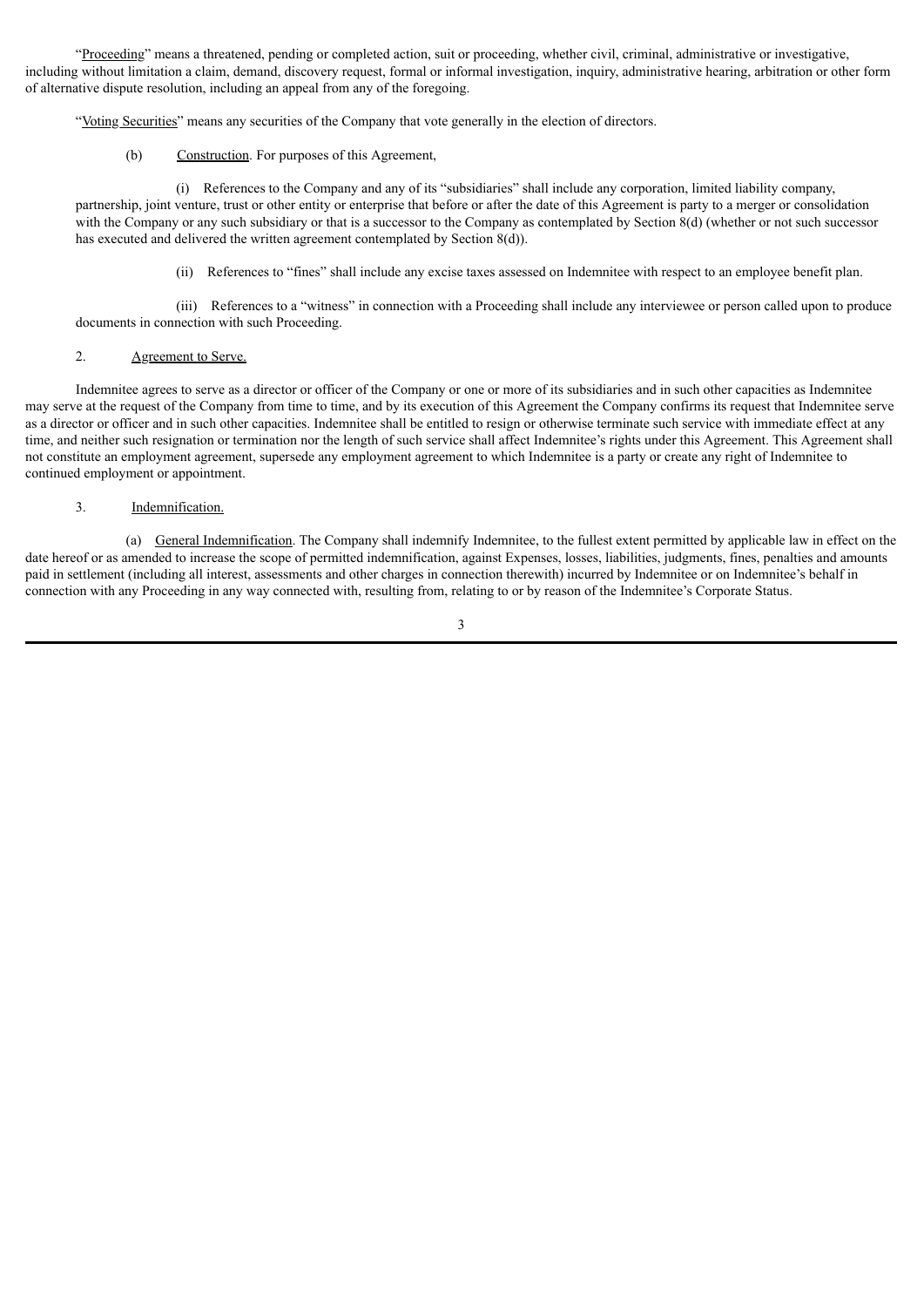"Proceeding" means a threatened, pending or completed action, suit or proceeding, whether civil, criminal, administrative or investigative, including without limitation a claim, demand, discovery request, formal or informal investigation, inquiry, administrative hearing, arbitration or other form of alternative dispute resolution, including an appeal from any of the foregoing.

"Voting Securities" means any securities of the Company that vote generally in the election of directors.

(b) Construction. For purposes of this Agreement,

(i) References to the Company and any of its "subsidiaries" shall include any corporation, limited liability company, partnership, joint venture, trust or other entity or enterprise that before or after the date of this Agreement is party to a merger or consolidation with the Company or any such subsidiary or that is a successor to the Company as contemplated by Section 8(d) (whether or not such successor has executed and delivered the written agreement contemplated by Section 8(d)).

(ii) References to "fines" shall include any excise taxes assessed on Indemnitee with respect to an employee benefit plan.

(iii) References to a "witness" in connection with a Proceeding shall include any interviewee or person called upon to produce documents in connection with such Proceeding.

#### 2. Agreement to Serve.

Indemnitee agrees to serve as a director or officer of the Company or one or more of its subsidiaries and in such other capacities as Indemnitee may serve at the request of the Company from time to time, and by its execution of this Agreement the Company confirms its request that Indemnitee serve as a director or officer and in such other capacities. Indemnitee shall be entitled to resign or otherwise terminate such service with immediate effect at any time, and neither such resignation or termination nor the length of such service shall affect Indemnitee's rights under this Agreement. This Agreement shall not constitute an employment agreement, supersede any employment agreement to which Indemnitee is a party or create any right of Indemnitee to continued employment or appointment.

## 3. Indemnification.

(a) General Indemnification. The Company shall indemnify Indemnitee, to the fullest extent permitted by applicable law in effect on the date hereof or as amended to increase the scope of permitted indemnification, against Expenses, losses, liabilities, judgments, fines, penalties and amounts paid in settlement (including all interest, assessments and other charges in connection therewith) incurred by Indemnitee or on Indemnitee's behalf in connection with any Proceeding in any way connected with, resulting from, relating to or by reason of the Indemnitee's Corporate Status.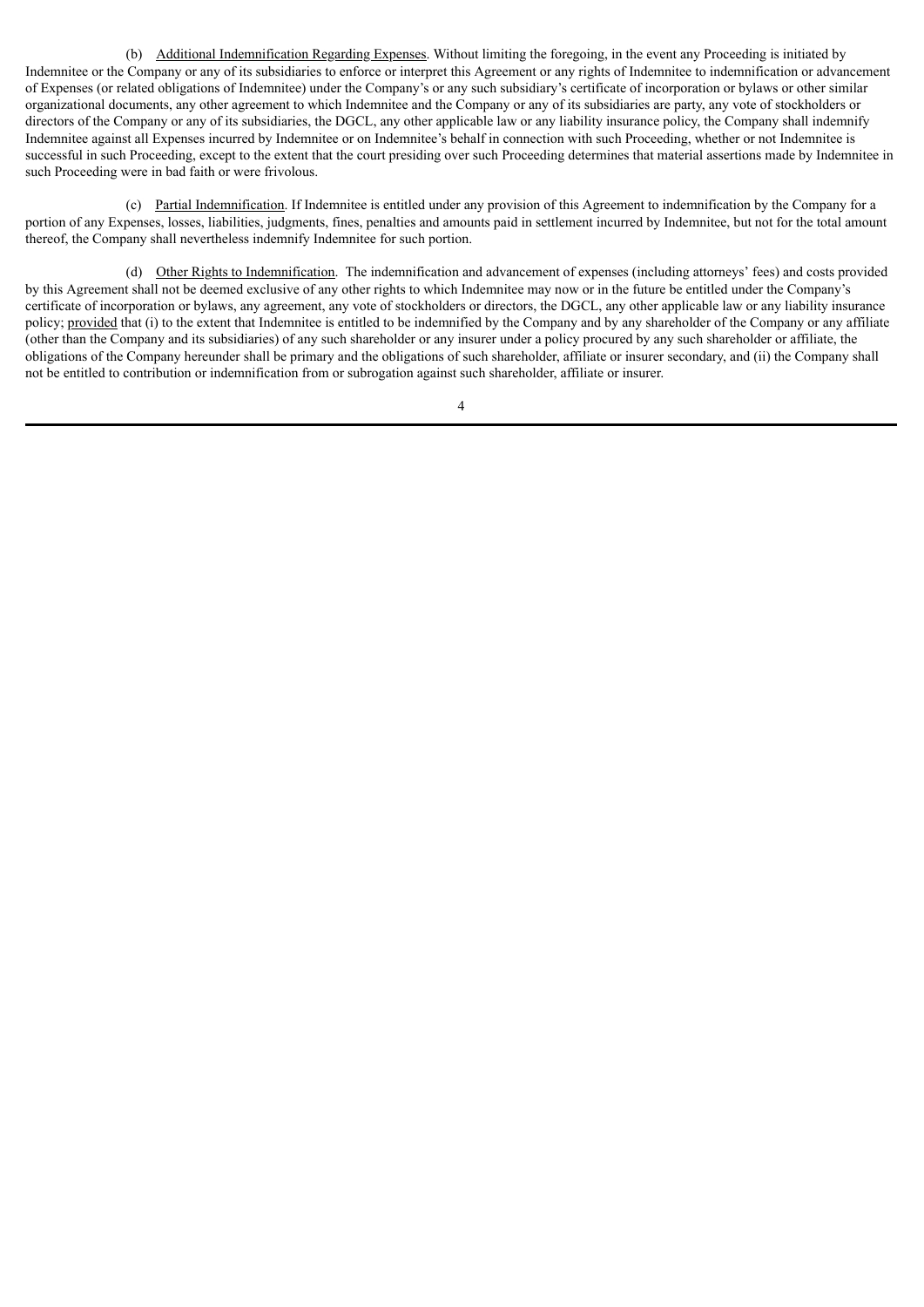(b) Additional Indemnification Regarding Expenses. Without limiting the foregoing, in the event any Proceeding is initiated by Indemnitee or the Company or any of its subsidiaries to enforce or interpret this Agreement or any rights of Indemnitee to indemnification or advancement of Expenses (or related obligations of Indemnitee) under the Company's or any such subsidiary's certificate of incorporation or bylaws or other similar organizational documents, any other agreement to which Indemnitee and the Company or any of its subsidiaries are party, any vote of stockholders or directors of the Company or any of its subsidiaries, the DGCL, any other applicable law or any liability insurance policy, the Company shall indemnify Indemnitee against all Expenses incurred by Indemnitee or on Indemnitee's behalf in connection with such Proceeding, whether or not Indemnitee is successful in such Proceeding, except to the extent that the court presiding over such Proceeding determines that material assertions made by Indemnitee in such Proceeding were in bad faith or were frivolous.

(c) Partial Indemnification. If Indemnitee is entitled under any provision of this Agreement to indemnification by the Company for a portion of any Expenses, losses, liabilities, judgments, fines, penalties and amounts paid in settlement incurred by Indemnitee, but not for the total amount thereof, the Company shall nevertheless indemnify Indemnitee for such portion.

(d) Other Rights to Indemnification. The indemnification and advancement of expenses (including attorneys' fees) and costs provided by this Agreement shall not be deemed exclusive of any other rights to which Indemnitee may now or in the future be entitled under the Company's certificate of incorporation or bylaws, any agreement, any vote of stockholders or directors, the DGCL, any other applicable law or any liability insurance policy; provided that (i) to the extent that Indemnitee is entitled to be indemnified by the Company and by any shareholder of the Company or any affiliate (other than the Company and its subsidiaries) of any such shareholder or any insurer under a policy procured by any such shareholder or affiliate, the obligations of the Company hereunder shall be primary and the obligations of such shareholder, affiliate or insurer secondary, and (ii) the Company shall not be entitled to contribution or indemnification from or subrogation against such shareholder, affiliate or insurer.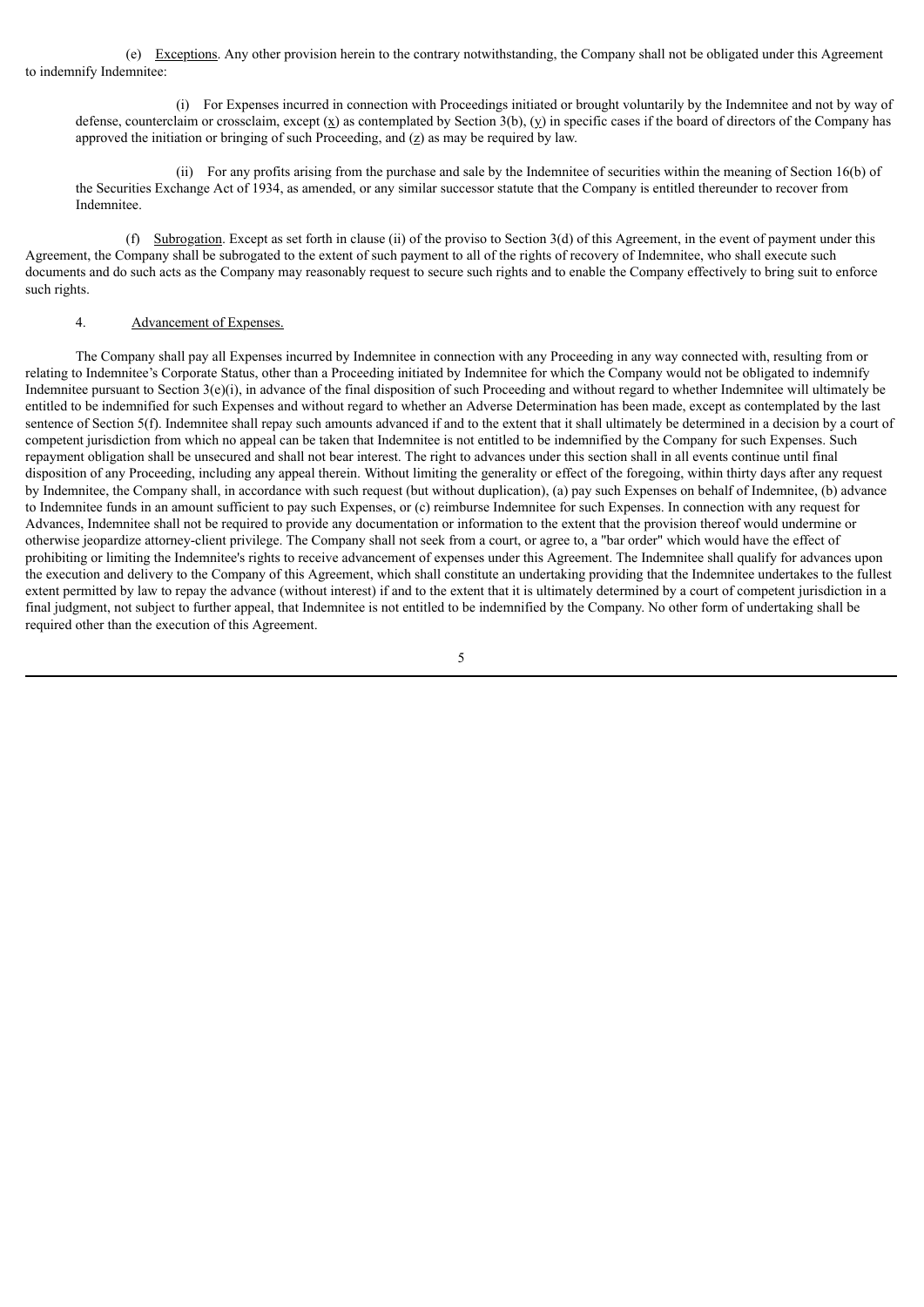(e) Exceptions. Any other provision herein to the contrary notwithstanding, the Company shall not be obligated under this Agreement to indemnify Indemnitee:

(i) For Expenses incurred in connection with Proceedings initiated or brought voluntarily by the Indemnitee and not by way of defense, counterclaim or crossclaim, except  $(\underline{x})$  as contemplated by Section 3(b),  $(y)$  in specific cases if the board of directors of the Company has approved the initiation or bringing of such Proceeding, and  $(z)$  as may be required by law.

(ii) For any profits arising from the purchase and sale by the Indemnitee of securities within the meaning of Section 16(b) of the Securities Exchange Act of 1934, as amended, or any similar successor statute that the Company is entitled thereunder to recover from Indemnitee.

(f) Subrogation. Except as set forth in clause (ii) of the proviso to Section  $3(d)$  of this Agreement, in the event of payment under this Agreement, the Company shall be subrogated to the extent of such payment to all of the rights of recovery of Indemnitee, who shall execute such documents and do such acts as the Company may reasonably request to secure such rights and to enable the Company effectively to bring suit to enforce such rights.

## 4. Advancement of Expenses.

The Company shall pay all Expenses incurred by Indemnitee in connection with any Proceeding in any way connected with, resulting from or relating to Indemnitee's Corporate Status, other than a Proceeding initiated by Indemnitee for which the Company would not be obligated to indemnify Indemnitee pursuant to Section 3(e)(i), in advance of the final disposition of such Proceeding and without regard to whether Indemnitee will ultimately be entitled to be indemnified for such Expenses and without regard to whether an Adverse Determination has been made, except as contemplated by the last sentence of Section 5(f). Indemnitee shall repay such amounts advanced if and to the extent that it shall ultimately be determined in a decision by a court of competent jurisdiction from which no appeal can be taken that Indemnitee is not entitled to be indemnified by the Company for such Expenses. Such repayment obligation shall be unsecured and shall not bear interest. The right to advances under this section shall in all events continue until final disposition of any Proceeding, including any appeal therein. Without limiting the generality or effect of the foregoing, within thirty days after any request by Indemnitee, the Company shall, in accordance with such request (but without duplication), (a) pay such Expenses on behalf of Indemnitee, (b) advance to Indemnitee funds in an amount sufficient to pay such Expenses, or (c) reimburse Indemnitee for such Expenses. In connection with any request for Advances, Indemnitee shall not be required to provide any documentation or information to the extent that the provision thereof would undermine or otherwise jeopardize attorney-client privilege. The Company shall not seek from a court, or agree to, a "bar order" which would have the effect of prohibiting or limiting the Indemnitee's rights to receive advancement of expenses under this Agreement. The Indemnitee shall qualify for advances upon the execution and delivery to the Company of this Agreement, which shall constitute an undertaking providing that the Indemnitee undertakes to the fullest extent permitted by law to repay the advance (without interest) if and to the extent that it is ultimately determined by a court of competent jurisdiction in a final judgment, not subject to further appeal, that Indemnitee is not entitled to be indemnified by the Company. No other form of undertaking shall be required other than the execution of this Agreement.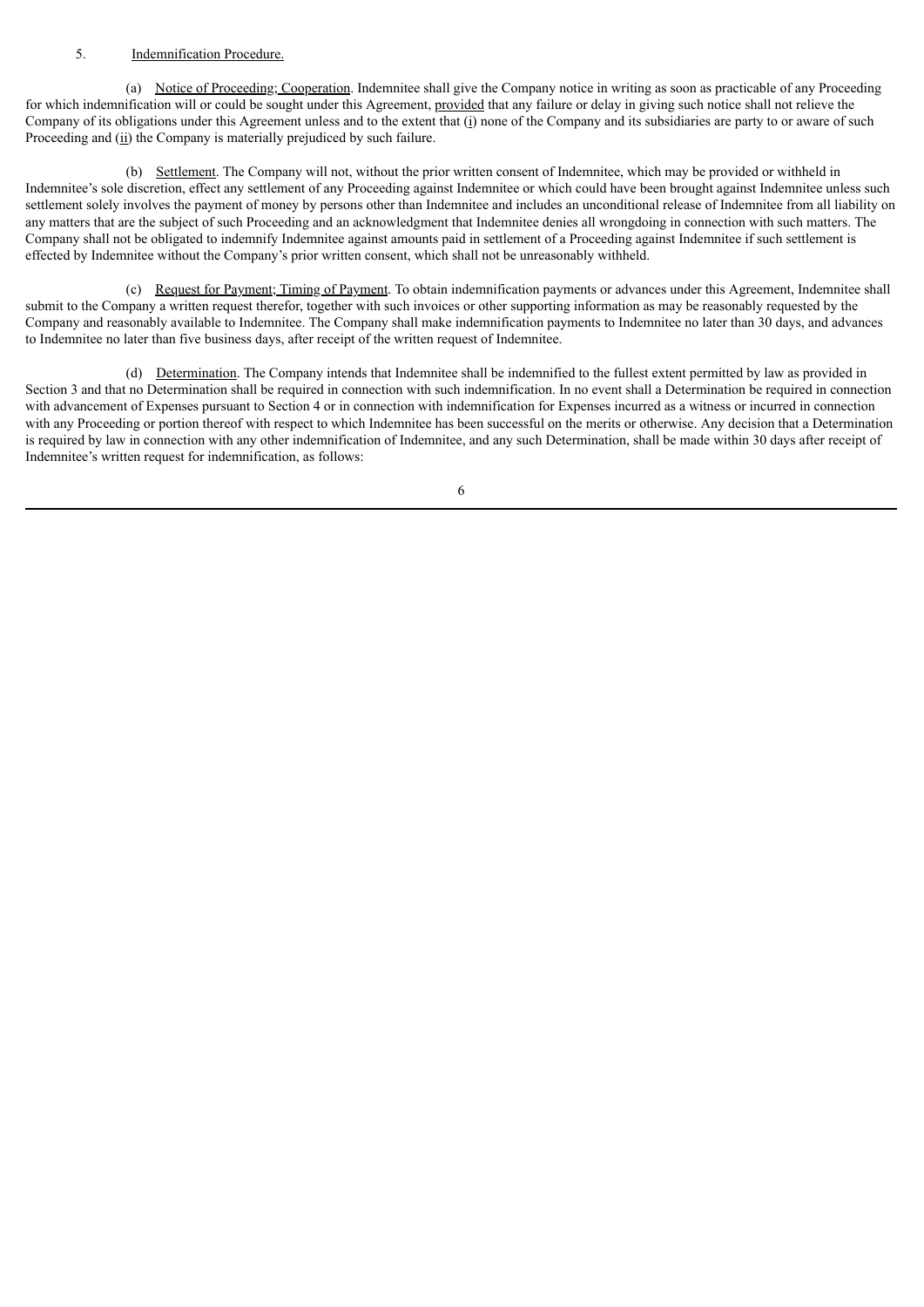## 5. Indemnification Procedure.

(a) Notice of Proceeding; Cooperation. Indemnitee shall give the Company notice in writing as soon as practicable of any Proceeding for which indemnification will or could be sought under this Agreement, provided that any failure or delay in giving such notice shall not relieve the Company of its obligations under this Agreement unless and to the extent that (i) none of the Company and its subsidiaries are party to or aware of such Proceeding and (ii) the Company is materially prejudiced by such failure.

(b) Settlement. The Company will not, without the prior written consent of Indemnitee, which may be provided or withheld in Indemnitee's sole discretion, effect any settlement of any Proceeding against Indemnitee or which could have been brought against Indemnitee unless such settlement solely involves the payment of money by persons other than Indemnitee and includes an unconditional release of Indemnitee from all liability on any matters that are the subject of such Proceeding and an acknowledgment that Indemnitee denies all wrongdoing in connection with such matters. The Company shall not be obligated to indemnify Indemnitee against amounts paid in settlement of a Proceeding against Indemnitee if such settlement is effected by Indemnitee without the Company's prior written consent, which shall not be unreasonably withheld.

(c) Request for Payment; Timing of Payment. To obtain indemnification payments or advances under this Agreement, Indemnitee shall submit to the Company a written request therefor, together with such invoices or other supporting information as may be reasonably requested by the Company and reasonably available to Indemnitee. The Company shall make indemnification payments to Indemnitee no later than 30 days, and advances to Indemnitee no later than five business days, after receipt of the written request of Indemnitee.

(d) Determination. The Company intends that Indemnitee shall be indemnified to the fullest extent permitted by law as provided in Section 3 and that no Determination shall be required in connection with such indemnification. In no event shall a Determination be required in connection with advancement of Expenses pursuant to Section 4 or in connection with indemnification for Expenses incurred as a witness or incurred in connection with any Proceeding or portion thereof with respect to which Indemnitee has been successful on the merits or otherwise. Any decision that a Determination is required by law in connection with any other indemnification of Indemnitee, and any such Determination, shall be made within 30 days after receipt of Indemnitee's written request for indemnification, as follows: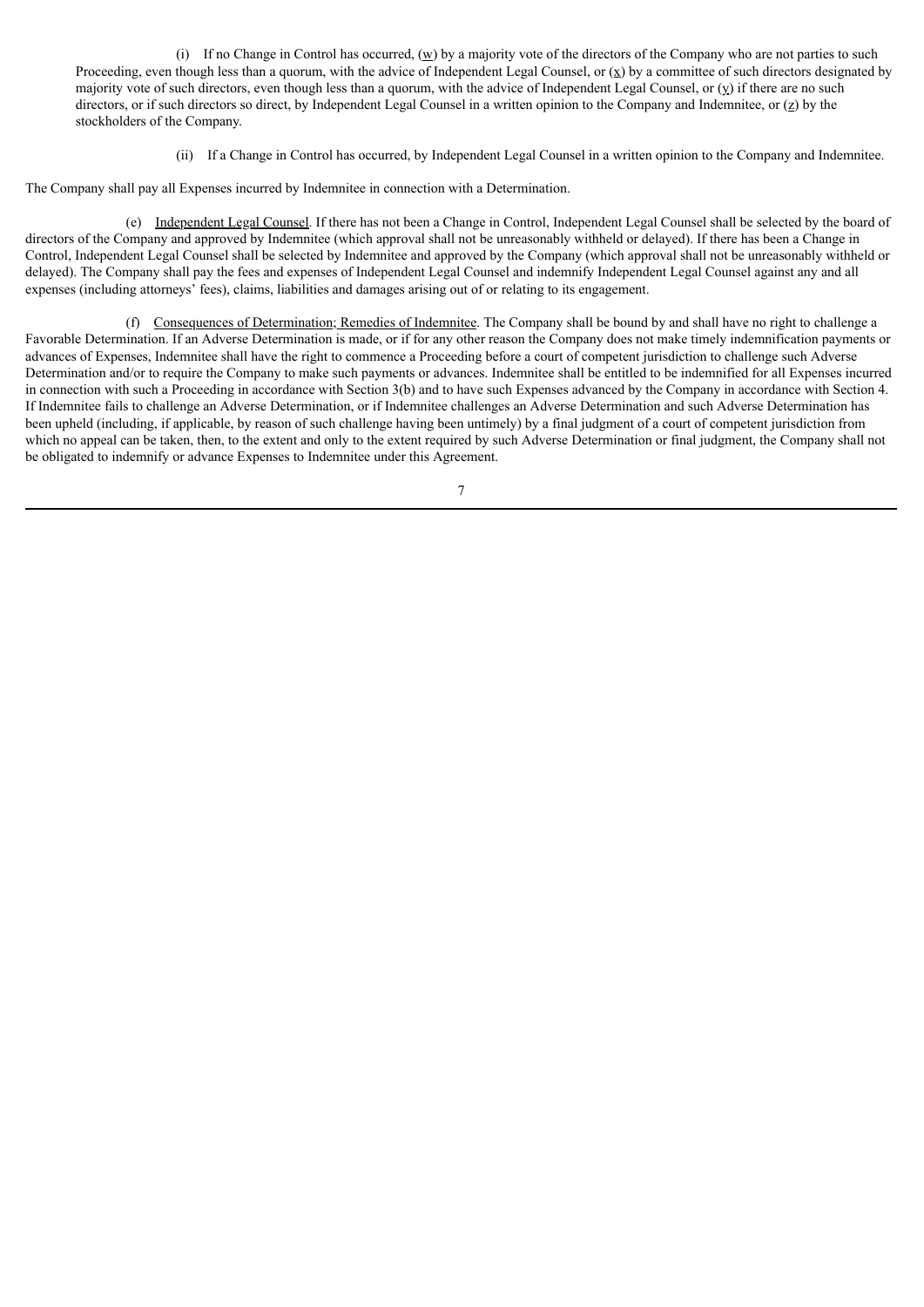(i) If no Change in Control has occurred,  $(\underline{w})$  by a majority vote of the directors of the Company who are not parties to such Proceeding, even though less than a quorum, with the advice of Independent Legal Counsel, or  $(x)$  by a committee of such directors designated by majority vote of such directors, even though less than a quorum, with the advice of Independent Legal Counsel, or (y) if there are no such directors, or if such directors so direct, by Independent Legal Counsel in a written opinion to the Company and Indemnitee, or (z) by the stockholders of the Company.

(ii) If a Change in Control has occurred, by Independent Legal Counsel in a written opinion to the Company and Indemnitee.

The Company shall pay all Expenses incurred by Indemnitee in connection with a Determination.

(e) Independent Legal Counsel. If there has not been a Change in Control, Independent Legal Counsel shall be selected by the board of directors of the Company and approved by Indemnitee (which approval shall not be unreasonably withheld or delayed). If there has been a Change in Control, Independent Legal Counsel shall be selected by Indemnitee and approved by the Company (which approval shall not be unreasonably withheld or delayed). The Company shall pay the fees and expenses of Independent Legal Counsel and indemnify Independent Legal Counsel against any and all expenses (including attorneys' fees), claims, liabilities and damages arising out of or relating to its engagement.

(f) Consequences of Determination; Remedies of Indemnitee. The Company shall be bound by and shall have no right to challenge a Favorable Determination. If an Adverse Determination is made, or if for any other reason the Company does not make timely indemnification payments or advances of Expenses, Indemnitee shall have the right to commence a Proceeding before a court of competent jurisdiction to challenge such Adverse Determination and/or to require the Company to make such payments or advances. Indemnitee shall be entitled to be indemnified for all Expenses incurred in connection with such a Proceeding in accordance with Section 3(b) and to have such Expenses advanced by the Company in accordance with Section 4. If Indemnitee fails to challenge an Adverse Determination, or if Indemnitee challenges an Adverse Determination and such Adverse Determination has been upheld (including, if applicable, by reason of such challenge having been untimely) by a final judgment of a court of competent jurisdiction from which no appeal can be taken, then, to the extent and only to the extent required by such Adverse Determination or final judgment, the Company shall not be obligated to indemnify or advance Expenses to Indemnitee under this Agreement.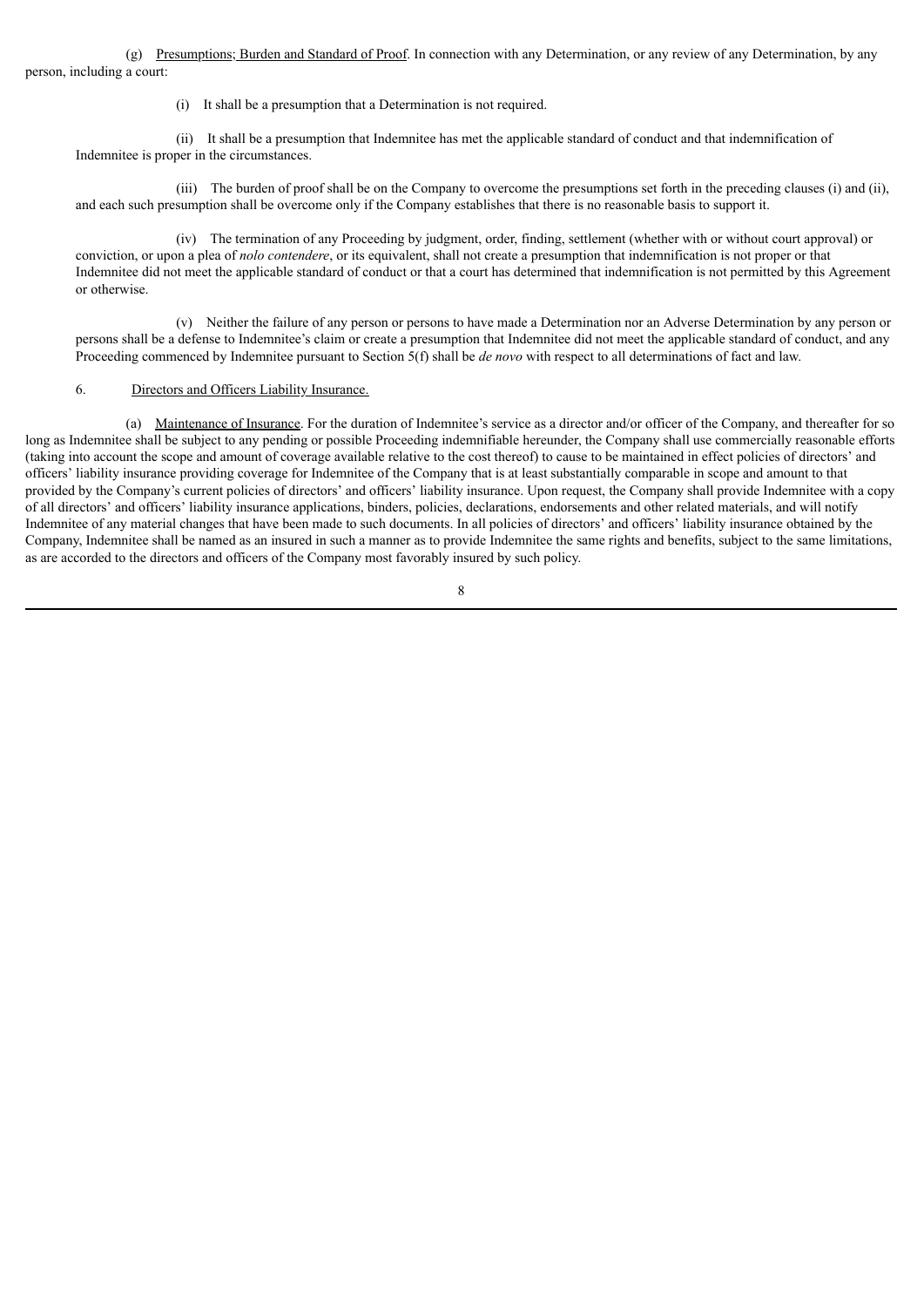(g) Presumptions; Burden and Standard of Proof. In connection with any Determination, or any review of any Determination, by any person, including a court:

(i) It shall be a presumption that a Determination is not required.

(ii) It shall be a presumption that Indemnitee has met the applicable standard of conduct and that indemnification of Indemnitee is proper in the circumstances.

(iii) The burden of proof shall be on the Company to overcome the presumptions set forth in the preceding clauses (i) and (ii), and each such presumption shall be overcome only if the Company establishes that there is no reasonable basis to support it.

(iv) The termination of any Proceeding by judgment, order, finding, settlement (whether with or without court approval) or conviction, or upon a plea of *nolo contendere*, or its equivalent, shall not create a presumption that indemnification is not proper or that Indemnitee did not meet the applicable standard of conduct or that a court has determined that indemnification is not permitted by this Agreement or otherwise.

(v) Neither the failure of any person or persons to have made a Determination nor an Adverse Determination by any person or persons shall be a defense to Indemnitee's claim or create a presumption that Indemnitee did not meet the applicable standard of conduct, and any Proceeding commenced by Indemnitee pursuant to Section 5(f) shall be *de novo* with respect to all determinations of fact and law.

#### 6. Directors and Officers Liability Insurance.

(a) Maintenance of Insurance. For the duration of Indemnitee's service as a director and/or officer of the Company, and thereafter for so long as Indemnitee shall be subject to any pending or possible Proceeding indemnifiable hereunder, the Company shall use commercially reasonable efforts (taking into account the scope and amount of coverage available relative to the cost thereof) to cause to be maintained in effect policies of directors' and officers' liability insurance providing coverage for Indemnitee of the Company that is at least substantially comparable in scope and amount to that provided by the Company's current policies of directors' and officers' liability insurance. Upon request, the Company shall provide Indemnitee with a copy of all directors' and officers' liability insurance applications, binders, policies, declarations, endorsements and other related materials, and will notify Indemnitee of any material changes that have been made to such documents. In all policies of directors' and officers' liability insurance obtained by the Company, Indemnitee shall be named as an insured in such a manner as to provide Indemnitee the same rights and benefits, subject to the same limitations, as are accorded to the directors and officers of the Company most favorably insured by such policy.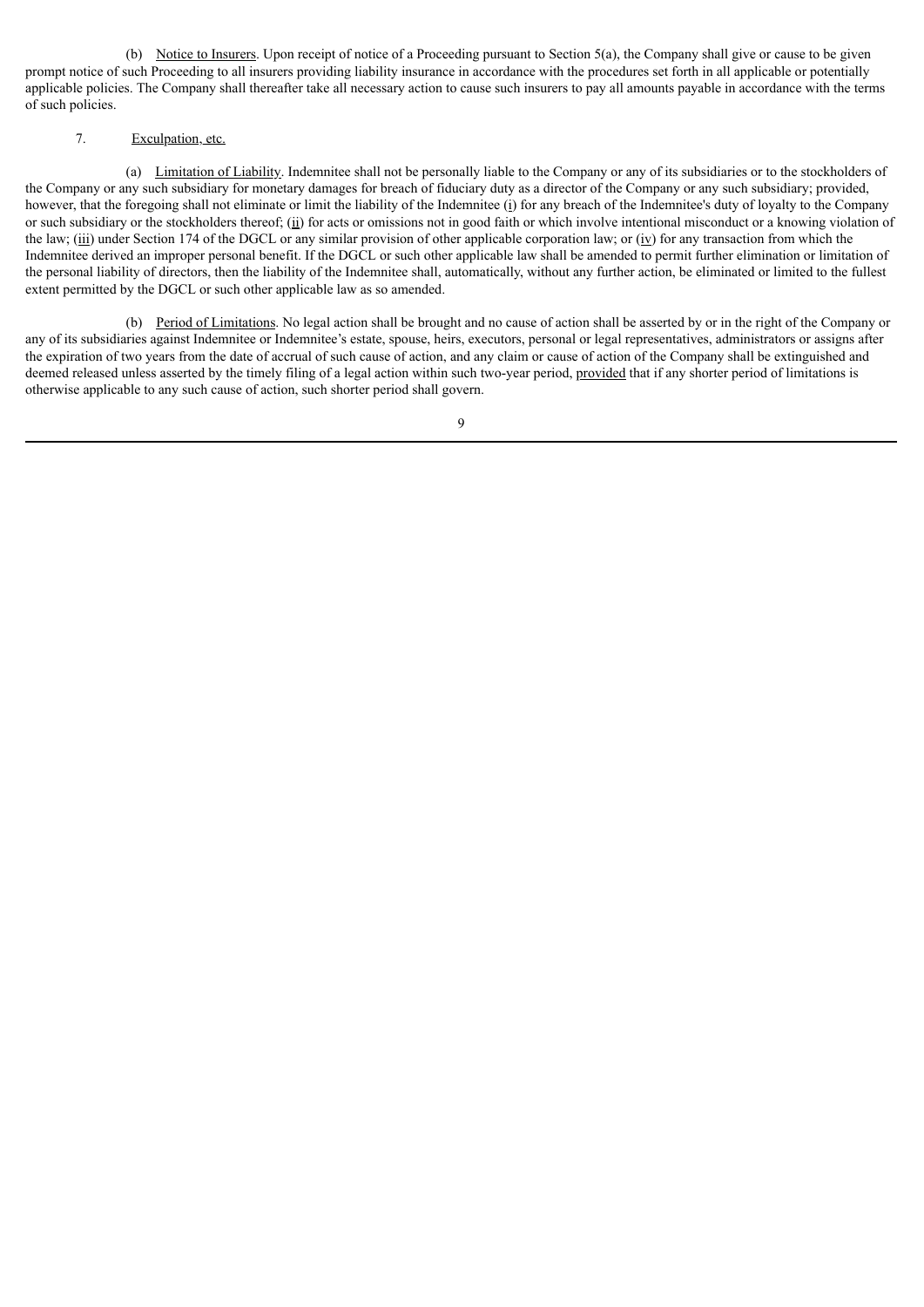(b) Notice to Insurers. Upon receipt of notice of a Proceeding pursuant to Section 5(a), the Company shall give or cause to be given prompt notice of such Proceeding to all insurers providing liability insurance in accordance with the procedures set forth in all applicable or potentially applicable policies. The Company shall thereafter take all necessary action to cause such insurers to pay all amounts payable in accordance with the terms of such policies.

### 7. Exculpation, etc.

(a) Limitation of Liability. Indemnitee shall not be personally liable to the Company or any of its subsidiaries or to the stockholders of the Company or any such subsidiary for monetary damages for breach of fiduciary duty as a director of the Company or any such subsidiary; provided, however, that the foregoing shall not eliminate or limit the liability of the Indemnitee (i) for any breach of the Indemnitee's duty of loyalty to the Company or such subsidiary or the stockholders thereof; (ii) for acts or omissions not in good faith or which involve intentional misconduct or a knowing violation of the law; (iii) under Section 174 of the DGCL or any similar provision of other applicable corporation law; or (iv) for any transaction from which the Indemnitee derived an improper personal benefit. If the DGCL or such other applicable law shall be amended to permit further elimination or limitation of the personal liability of directors, then the liability of the Indemnitee shall, automatically, without any further action, be eliminated or limited to the fullest extent permitted by the DGCL or such other applicable law as so amended.

(b) Period of Limitations. No legal action shall be brought and no cause of action shall be asserted by or in the right of the Company or any of its subsidiaries against Indemnitee or Indemnitee's estate, spouse, heirs, executors, personal or legal representatives, administrators or assigns after the expiration of two years from the date of accrual of such cause of action, and any claim or cause of action of the Company shall be extinguished and deemed released unless asserted by the timely filing of a legal action within such two-year period, provided that if any shorter period of limitations is otherwise applicable to any such cause of action, such shorter period shall govern.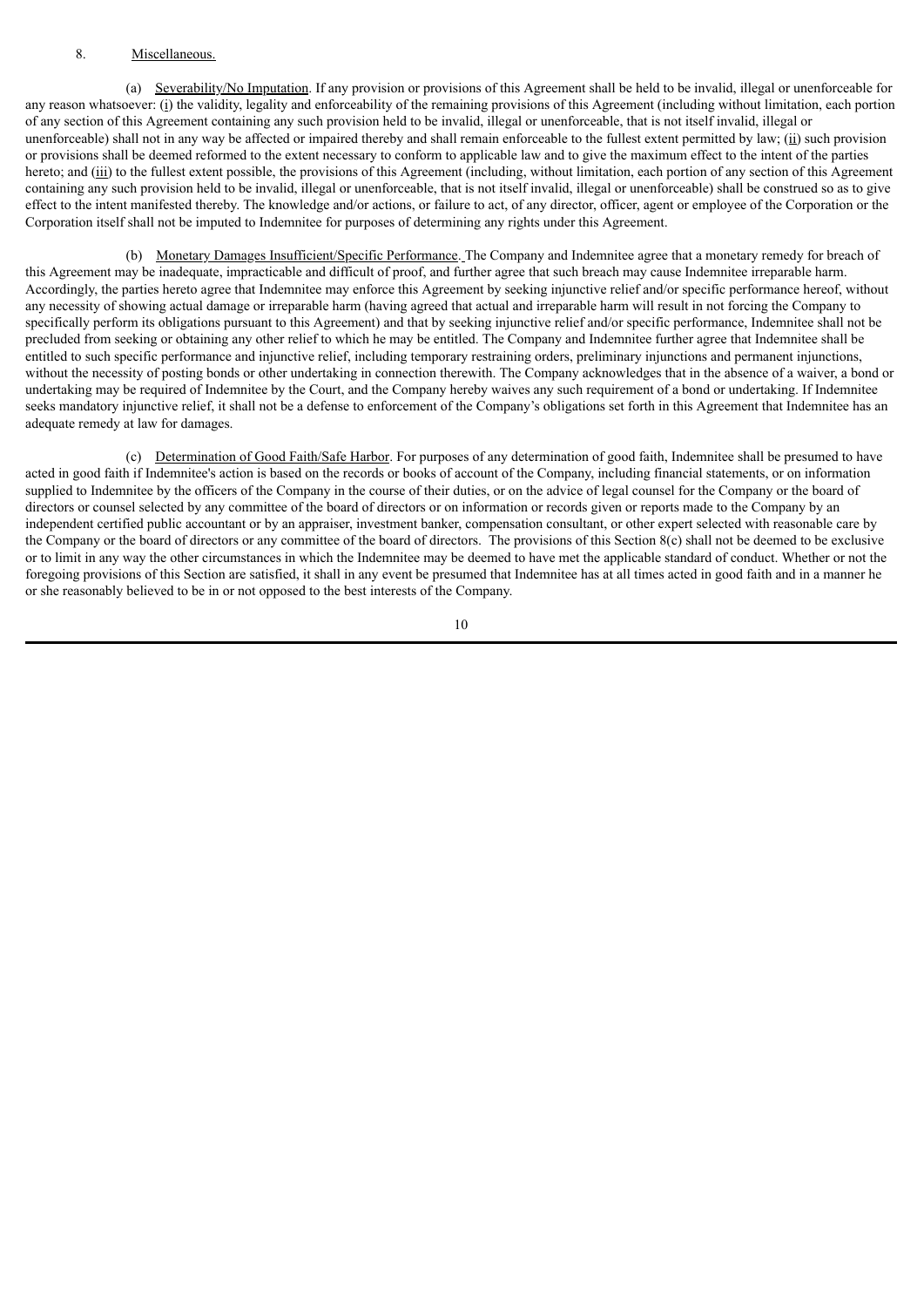#### 8. Miscellaneous.

(a) Severability/No Imputation. If any provision or provisions of this Agreement shall be held to be invalid, illegal or unenforceable for any reason whatsoever: (i) the validity, legality and enforceability of the remaining provisions of this Agreement (including without limitation, each portion of any section of this Agreement containing any such provision held to be invalid, illegal or unenforceable, that is not itself invalid, illegal or unenforceable) shall not in any way be affected or impaired thereby and shall remain enforceable to the fullest extent permitted by law; ( $\dot{u}$ ) such provision or provisions shall be deemed reformed to the extent necessary to conform to applicable law and to give the maximum effect to the intent of the parties hereto; and (iii) to the fullest extent possible, the provisions of this Agreement (including, without limitation, each portion of any section of this Agreement containing any such provision held to be invalid, illegal or unenforceable, that is not itself invalid, illegal or unenforceable) shall be construed so as to give effect to the intent manifested thereby. The knowledge and/or actions, or failure to act, of any director, officer, agent or employee of the Corporation or the Corporation itself shall not be imputed to Indemnitee for purposes of determining any rights under this Agreement.

(b) Monetary Damages Insufficient/Specific Performance. The Company and Indemnitee agree that a monetary remedy for breach of this Agreement may be inadequate, impracticable and difficult of proof, and further agree that such breach may cause Indemnitee irreparable harm. Accordingly, the parties hereto agree that Indemnitee may enforce this Agreement by seeking injunctive relief and/or specific performance hereof, without any necessity of showing actual damage or irreparable harm (having agreed that actual and irreparable harm will result in not forcing the Company to specifically perform its obligations pursuant to this Agreement) and that by seeking injunctive relief and/or specific performance, Indemnitee shall not be precluded from seeking or obtaining any other relief to which he may be entitled. The Company and Indemnitee further agree that Indemnitee shall be entitled to such specific performance and injunctive relief, including temporary restraining orders, preliminary injunctions and permanent injunctions, without the necessity of posting bonds or other undertaking in connection therewith. The Company acknowledges that in the absence of a waiver, a bond or undertaking may be required of Indemnitee by the Court, and the Company hereby waives any such requirement of a bond or undertaking. If Indemnitee seeks mandatory injunctive relief, it shall not be a defense to enforcement of the Company's obligations set forth in this Agreement that Indemnitee has an adequate remedy at law for damages.

(c) Determination of Good Faith/Safe Harbor. For purposes of any determination of good faith, Indemnitee shall be presumed to have acted in good faith if Indemnitee's action is based on the records or books of account of the Company, including financial statements, or on information supplied to Indemnitee by the officers of the Company in the course of their duties, or on the advice of legal counsel for the Company or the board of directors or counsel selected by any committee of the board of directors or on information or records given or reports made to the Company by an independent certified public accountant or by an appraiser, investment banker, compensation consultant, or other expert selected with reasonable care by the Company or the board of directors or any committee of the board of directors. The provisions of this Section 8(c) shall not be deemed to be exclusive or to limit in any way the other circumstances in which the Indemnitee may be deemed to have met the applicable standard of conduct. Whether or not the foregoing provisions of this Section are satisfied, it shall in any event be presumed that Indemnitee has at all times acted in good faith and in a manner he or she reasonably believed to be in or not opposed to the best interests of the Company.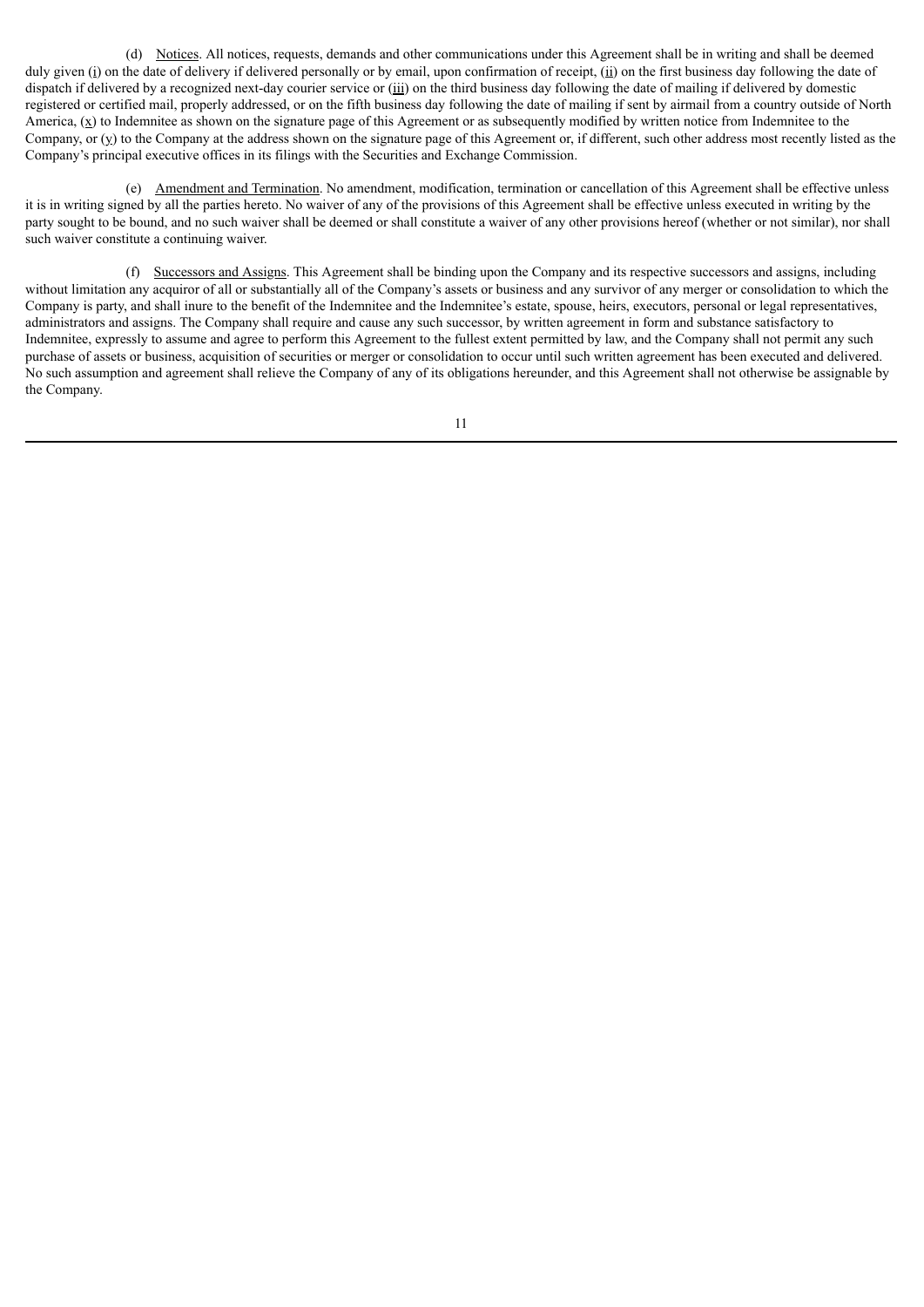(d) Notices. All notices, requests, demands and other communications under this Agreement shall be in writing and shall be deemed duly given (i) on the date of delivery if delivered personally or by email, upon confirmation of receipt, (ii) on the first business day following the date of dispatch if delivered by a recognized next-day courier service or (iii) on the third business day following the date of mailing if delivered by domestic registered or certified mail, properly addressed, or on the fifth business day following the date of mailing if sent by airmail from a country outside of North America,  $(\underline{x})$  to Indemnitee as shown on the signature page of this Agreement or as subsequently modified by written notice from Indemnitee to the Company, or  $(y)$  to the Company at the address shown on the signature page of this Agreement or, if different, such other address most recently listed as the Company's principal executive offices in its filings with the Securities and Exchange Commission.

(e) Amendment and Termination. No amendment, modification, termination or cancellation of this Agreement shall be effective unless it is in writing signed by all the parties hereto. No waiver of any of the provisions of this Agreement shall be effective unless executed in writing by the party sought to be bound, and no such waiver shall be deemed or shall constitute a waiver of any other provisions hereof (whether or not similar), nor shall such waiver constitute a continuing waiver.

(f) Successors and Assigns. This Agreement shall be binding upon the Company and its respective successors and assigns, including without limitation any acquiror of all or substantially all of the Company's assets or business and any survivor of any merger or consolidation to which the Company is party, and shall inure to the benefit of the Indemnitee and the Indemnitee's estate, spouse, heirs, executors, personal or legal representatives, administrators and assigns. The Company shall require and cause any such successor, by written agreement in form and substance satisfactory to Indemnitee, expressly to assume and agree to perform this Agreement to the fullest extent permitted by law, and the Company shall not permit any such purchase of assets or business, acquisition of securities or merger or consolidation to occur until such written agreement has been executed and delivered. No such assumption and agreement shall relieve the Company of any of its obligations hereunder, and this Agreement shall not otherwise be assignable by the Company.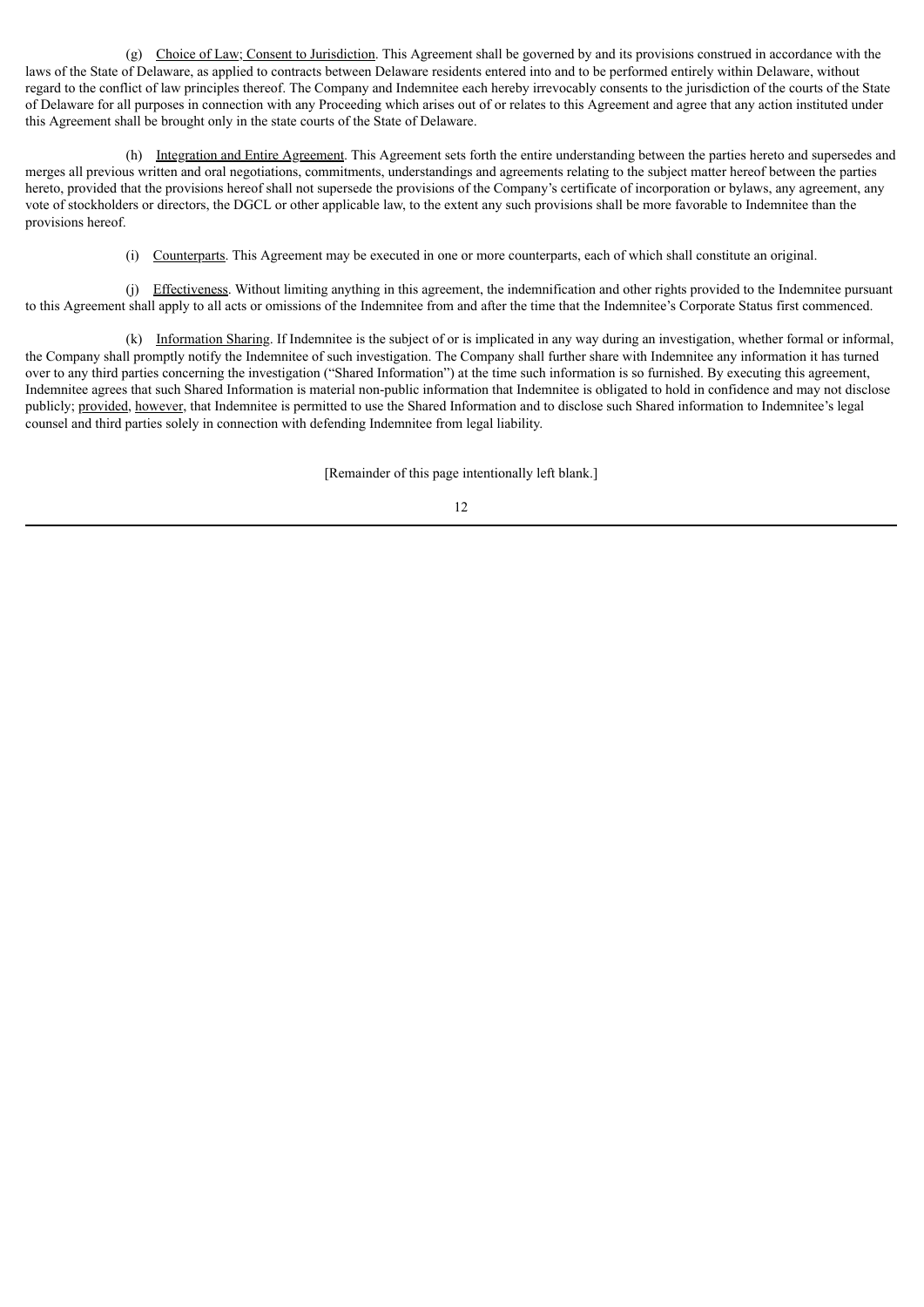(g) Choice of Law; Consent to Jurisdiction. This Agreement shall be governed by and its provisions construed in accordance with the laws of the State of Delaware, as applied to contracts between Delaware residents entered into and to be performed entirely within Delaware, without regard to the conflict of law principles thereof. The Company and Indemnitee each hereby irrevocably consents to the jurisdiction of the courts of the State of Delaware for all purposes in connection with any Proceeding which arises out of or relates to this Agreement and agree that any action instituted under this Agreement shall be brought only in the state courts of the State of Delaware.

(h) Integration and Entire Agreement. This Agreement sets forth the entire understanding between the parties hereto and supersedes and merges all previous written and oral negotiations, commitments, understandings and agreements relating to the subject matter hereof between the parties hereto, provided that the provisions hereof shall not supersede the provisions of the Company's certificate of incorporation or bylaws, any agreement, any vote of stockholders or directors, the DGCL or other applicable law, to the extent any such provisions shall be more favorable to Indemnitee than the provisions hereof.

(i) Counterparts. This Agreement may be executed in one or more counterparts, each of which shall constitute an original.

(j) Effectiveness. Without limiting anything in this agreement, the indemnification and other rights provided to the Indemnitee pursuant to this Agreement shall apply to all acts or omissions of the Indemnitee from and after the time that the Indemnitee's Corporate Status first commenced.

(k) Information Sharing. If Indemnitee is the subject of or is implicated in any way during an investigation, whether formal or informal, the Company shall promptly notify the Indemnitee of such investigation. The Company shall further share with Indemnitee any information it has turned over to any third parties concerning the investigation ("Shared Information") at the time such information is so furnished. By executing this agreement, Indemnitee agrees that such Shared Information is material non-public information that Indemnitee is obligated to hold in confidence and may not disclose publicly; provided, however, that Indemnitee is permitted to use the Shared Information and to disclose such Shared information to Indemnitee's legal counsel and third parties solely in connection with defending Indemnitee from legal liability.

[Remainder of this page intentionally left blank.]